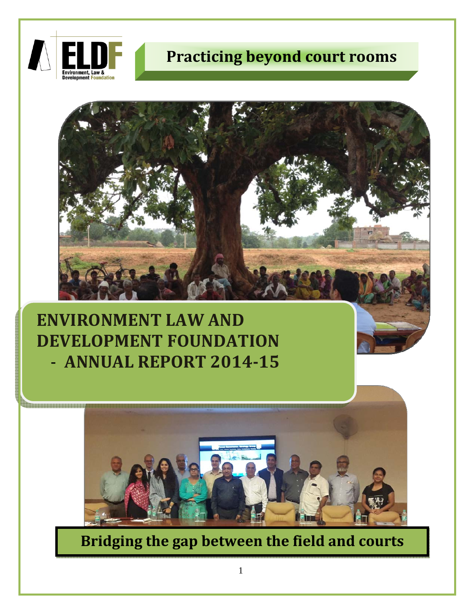

<u>La manang manang sa</u> sa

# **Practicing beyond court rooms**



# **ENVIRONMENT LAW AND DEVELOPMENT FOUNDATION** ‐ **ANNUAL REPORT 201415**



**Bridging the gap between the field and courts**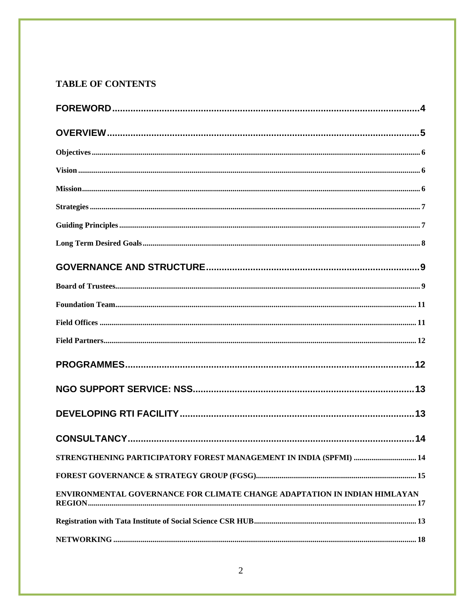# **TABLE OF CONTENTS**

| STRENGTHENING PARTICIPATORY FOREST MANAGEMENT IN INDIA (SPFMI)  14        |  |
|---------------------------------------------------------------------------|--|
|                                                                           |  |
| ENVIRONMENTAL GOVERNANCE FOR CLIMATE CHANGE ADAPTATION IN INDIAN HIMLAYAN |  |
|                                                                           |  |
|                                                                           |  |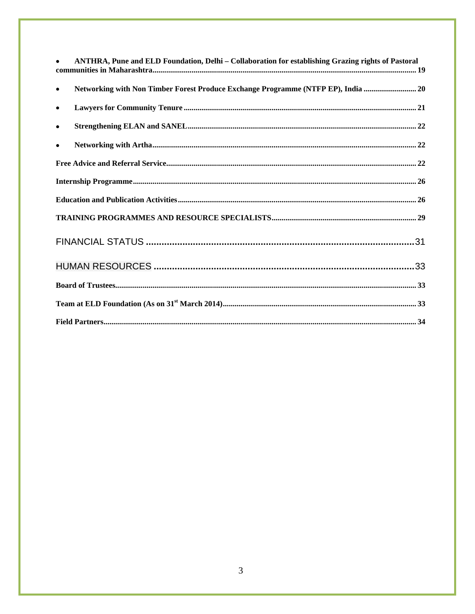| $\bullet$ | ANTHRA, Pune and ELD Foundation, Delhi - Collaboration for establishing Grazing rights of Pastoral |
|-----------|----------------------------------------------------------------------------------------------------|
| $\bullet$ | Networking with Non Timber Forest Produce Exchange Programme (NTFP EP), India  20                  |
| $\bullet$ |                                                                                                    |
| $\bullet$ |                                                                                                    |
| $\bullet$ |                                                                                                    |
|           |                                                                                                    |
|           |                                                                                                    |
|           |                                                                                                    |
|           |                                                                                                    |
|           |                                                                                                    |
|           |                                                                                                    |
|           |                                                                                                    |
|           |                                                                                                    |
|           |                                                                                                    |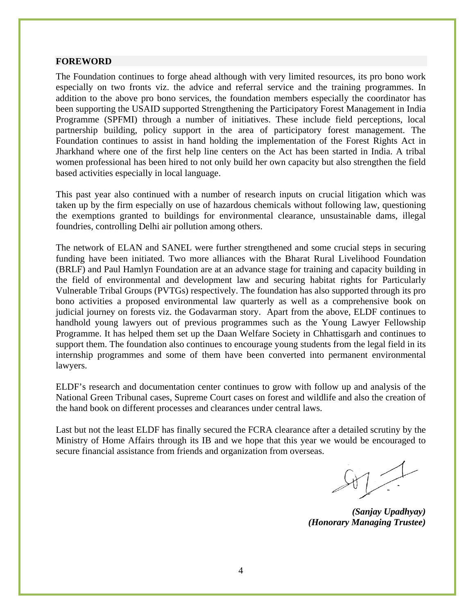#### **FOREWORD**

The Foundation continues to forge ahead although with very limited resources, its pro bono work especially on two fronts viz. the advice and referral service and the training programmes. In addition to the above pro bono services, the foundation members especially the coordinator has been supporting the USAID supported Strengthening the Participatory Forest Management in India Programme (SPFMI) through a number of initiatives. These include field perceptions, local partnership building, policy support in the area of participatory forest management. The Foundation continues to assist in hand holding the implementation of the Forest Rights Act in Jharkhand where one of the first help line centers on the Act has been started in India. A tribal women professional has been hired to not only build her own capacity but also strengthen the field based activities especially in local language.

This past year also continued with a number of research inputs on crucial litigation which was taken up by the firm especially on use of hazardous chemicals without following law, questioning the exemptions granted to buildings for environmental clearance, unsustainable dams, illegal foundries, controlling Delhi air pollution among others.

The network of ELAN and SANEL were further strengthened and some crucial steps in securing funding have been initiated. Two more alliances with the Bharat Rural Livelihood Foundation (BRLF) and Paul Hamlyn Foundation are at an advance stage for training and capacity building in the field of environmental and development law and securing habitat rights for Particularly Vulnerable Tribal Groups (PVTGs) respectively. The foundation has also supported through its pro bono activities a proposed environmental law quarterly as well as a comprehensive book on judicial journey on forests viz. the Godavarman story. Apart from the above, ELDF continues to handhold young lawyers out of previous programmes such as the Young Lawyer Fellowship Programme. It has helped them set up the Daan Welfare Society in Chhattisgarh and continues to support them. The foundation also continues to encourage young students from the legal field in its internship programmes and some of them have been converted into permanent environmental lawyers.

ELDF's research and documentation center continues to grow with follow up and analysis of the National Green Tribunal cases, Supreme Court cases on forest and wildlife and also the creation of the hand book on different processes and clearances under central laws.

Last but not the least ELDF has finally secured the FCRA clearance after a detailed scrutiny by the Ministry of Home Affairs through its IB and we hope that this year we would be encouraged to secure financial assistance from friends and organization from overseas.

*(Sanjay Upadhyay) (Honorary Managing Trustee)*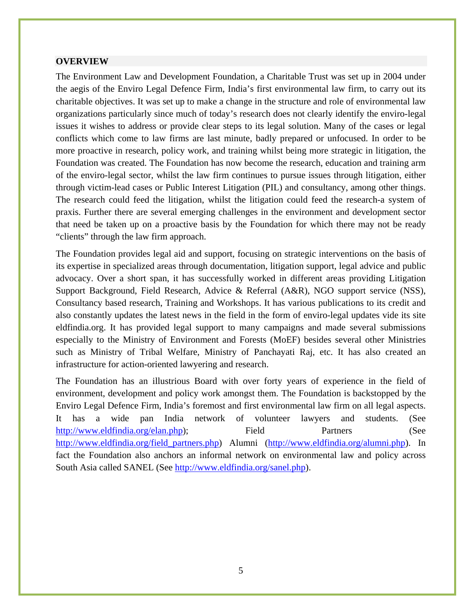#### **OVERVIEW**

The Environment Law and Development Foundation, a Charitable Trust was set up in 2004 under the aegis of the Enviro Legal Defence Firm, India's first environmental law firm, to carry out its charitable objectives. It was set up to make a change in the structure and role of environmental law organizations particularly since much of today's research does not clearly identify the enviro-legal issues it wishes to address or provide clear steps to its legal solution. Many of the cases or legal conflicts which come to law firms are last minute, badly prepared or unfocused. In order to be more proactive in research, policy work, and training whilst being more strategic in litigation, the Foundation was created. The Foundation has now become the research, education and training arm of the enviro-legal sector, whilst the law firm continues to pursue issues through litigation, either through victim-lead cases or Public Interest Litigation (PIL) and consultancy, among other things. The research could feed the litigation, whilst the litigation could feed the research-a system of praxis. Further there are several emerging challenges in the environment and development sector that need be taken up on a proactive basis by the Foundation for which there may not be ready "clients" through the law firm approach.

The Foundation provides legal aid and support, focusing on strategic interventions on the basis of its expertise in specialized areas through documentation, litigation support, legal advice and public advocacy. Over a short span, it has successfully worked in different areas providing Litigation Support Background, Field Research, Advice & Referral (A&R), NGO support service (NSS), Consultancy based research, Training and Workshops. It has various publications to its credit and also constantly updates the latest news in the field in the form of enviro-legal updates vide its site eldfindia.org. It has provided legal support to many campaigns and made several submissions especially to the Ministry of Environment and Forests (MoEF) besides several other Ministries such as Ministry of Tribal Welfare, Ministry of Panchayati Raj, etc. It has also created an infrastructure for action-oriented lawyering and research.

The Foundation has an illustrious Board with over forty years of experience in the field of environment, development and policy work amongst them. The Foundation is backstopped by the Enviro Legal Defence Firm, India's foremost and first environmental law firm on all legal aspects. It has a wide pan India network of volunteer lawyers and students. (See http://www.eldfindia.org/elan.php); Field Partners (See http://www.eldfindia.org/field\_partners.php) Alumni (http://www.eldfindia.org/alumni.php). In fact the Foundation also anchors an informal network on environmental law and policy across South Asia called SANEL (See http://www.eldfindia.org/sanel.php).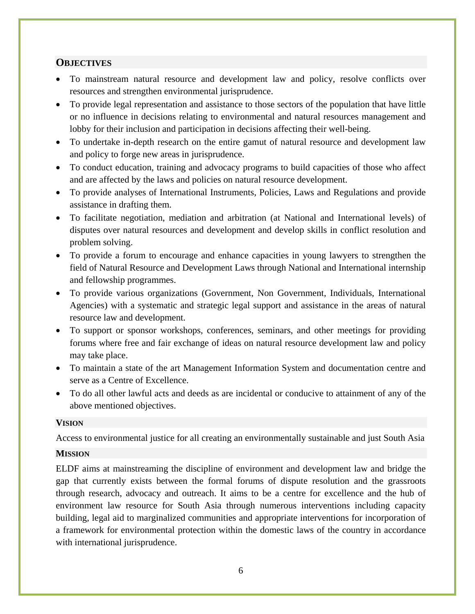#### **OBJECTIVES**

- To mainstream natural resource and development law and policy, resolve conflicts over resources and strengthen environmental jurisprudence.
- To provide legal representation and assistance to those sectors of the population that have little or no influence in decisions relating to environmental and natural resources management and lobby for their inclusion and participation in decisions affecting their well-being.
- To undertake in-depth research on the entire gamut of natural resource and development law and policy to forge new areas in jurisprudence.
- To conduct education, training and advocacy programs to build capacities of those who affect and are affected by the laws and policies on natural resource development.
- To provide analyses of International Instruments, Policies, Laws and Regulations and provide assistance in drafting them.
- To facilitate negotiation, mediation and arbitration (at National and International levels) of disputes over natural resources and development and develop skills in conflict resolution and problem solving.
- To provide a forum to encourage and enhance capacities in young lawyers to strengthen the field of Natural Resource and Development Laws through National and International internship and fellowship programmes.
- To provide various organizations (Government, Non Government, Individuals, International Agencies) with a systematic and strategic legal support and assistance in the areas of natural resource law and development.
- To support or sponsor workshops, conferences, seminars, and other meetings for providing forums where free and fair exchange of ideas on natural resource development law and policy may take place.
- To maintain a state of the art Management Information System and documentation centre and serve as a Centre of Excellence.
- To do all other lawful acts and deeds as are incidental or conducive to attainment of any of the above mentioned objectives.

#### **VISION**

Access to environmental justice for all creating an environmentally sustainable and just South Asia

## **MISSION**

ELDF aims at mainstreaming the discipline of environment and development law and bridge the gap that currently exists between the formal forums of dispute resolution and the grassroots through research, advocacy and outreach. It aims to be a centre for excellence and the hub of environment law resource for South Asia through numerous interventions including capacity building, legal aid to marginalized communities and appropriate interventions for incorporation of a framework for environmental protection within the domestic laws of the country in accordance with international jurisprudence.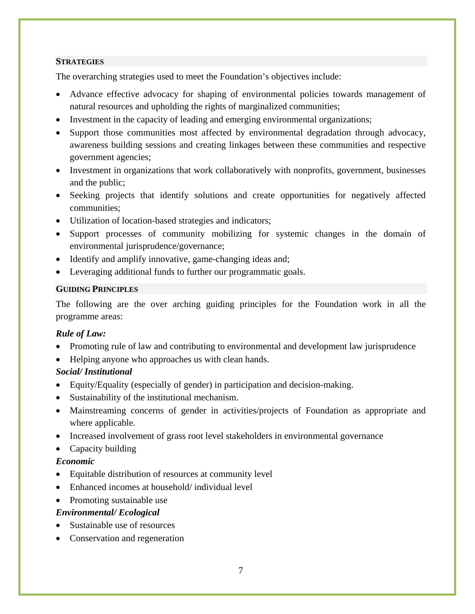#### **STRATEGIES**

The overarching strategies used to meet the Foundation's objectives include:

- Advance effective advocacy for shaping of environmental policies towards management of natural resources and upholding the rights of marginalized communities;
- Investment in the capacity of leading and emerging environmental organizations;
- Support those communities most affected by environmental degradation through advocacy, awareness building sessions and creating linkages between these communities and respective government agencies;
- Investment in organizations that work collaboratively with nonprofits, government, businesses and the public;
- Seeking projects that identify solutions and create opportunities for negatively affected communities;
- Utilization of location-based strategies and indicators;
- Support processes of community mobilizing for systemic changes in the domain of environmental jurisprudence/governance;
- Identify and amplify innovative, game-changing ideas and;
- Leveraging additional funds to further our programmatic goals.

#### **GUIDING PRINCIPLES**

The following are the over arching guiding principles for the Foundation work in all the programme areas:

## *Rule of Law:*

- Promoting rule of law and contributing to environmental and development law jurisprudence
- Helping anyone who approaches us with clean hands.

## *Social/ Institutional*

- Equity/Equality (especially of gender) in participation and decision-making.
- Sustainability of the institutional mechanism.
- Mainstreaming concerns of gender in activities/projects of Foundation as appropriate and where applicable.
- Increased involvement of grass root level stakeholders in environmental governance
- Capacity building

#### *Economic*

- Equitable distribution of resources at community level
- Enhanced incomes at household/ individual level
- Promoting sustainable use

#### *Environmental/ Ecological*

- Sustainable use of resources
- Conservation and regeneration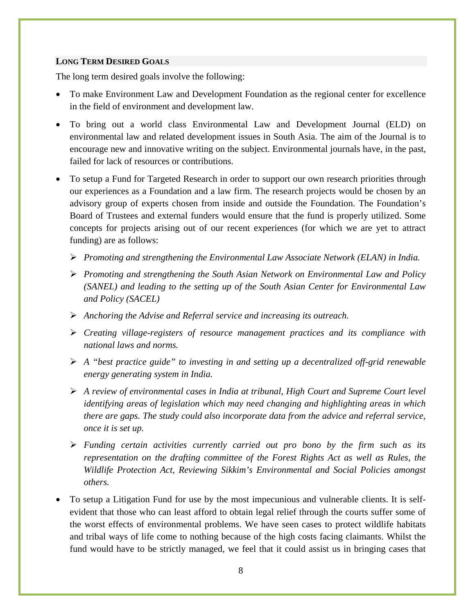#### **LONG TERM DESIRED GOALS**

The long term desired goals involve the following:

- To make Environment Law and Development Foundation as the regional center for excellence in the field of environment and development law.
- To bring out a world class Environmental Law and Development Journal (ELD) on environmental law and related development issues in South Asia. The aim of the Journal is to encourage new and innovative writing on the subject. Environmental journals have, in the past, failed for lack of resources or contributions.
- To setup a Fund for Targeted Research in order to support our own research priorities through our experiences as a Foundation and a law firm. The research projects would be chosen by an advisory group of experts chosen from inside and outside the Foundation. The Foundation's Board of Trustees and external funders would ensure that the fund is properly utilized. Some concepts for projects arising out of our recent experiences (for which we are yet to attract funding) are as follows:
	- ¾ *Promoting and strengthening the Environmental Law Associate Network (ELAN) in India.*
	- ¾ *Promoting and strengthening the South Asian Network on Environmental Law and Policy (SANEL) and leading to the setting up of the South Asian Center for Environmental Law and Policy (SACEL)*
	- ¾ *Anchoring the Advise and Referral service and increasing its outreach.*
	- ¾ *Creating village-registers of resource management practices and its compliance with national laws and norms.*
	- ¾ *A "best practice guide" to investing in and setting up a decentralized off-grid renewable energy generating system in India.*
	- ¾ *A review of environmental cases in India at tribunal, High Court and Supreme Court level identifying areas of legislation which may need changing and highlighting areas in which there are gaps. The study could also incorporate data from the advice and referral service, once it is set up.*
	- ¾ *Funding certain activities currently carried out pro bono by the firm such as its representation on the drafting committee of the Forest Rights Act as well as Rules, the Wildlife Protection Act, Reviewing Sikkim's Environmental and Social Policies amongst others.*
- To setup a Litigation Fund for use by the most impecunious and vulnerable clients. It is selfevident that those who can least afford to obtain legal relief through the courts suffer some of the worst effects of environmental problems. We have seen cases to protect wildlife habitats and tribal ways of life come to nothing because of the high costs facing claimants. Whilst the fund would have to be strictly managed, we feel that it could assist us in bringing cases that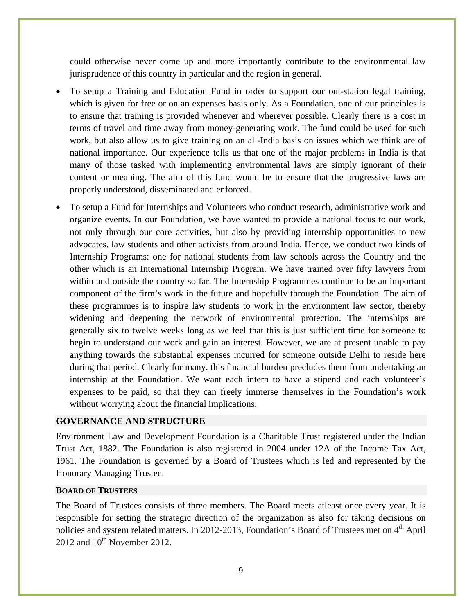could otherwise never come up and more importantly contribute to the environmental law jurisprudence of this country in particular and the region in general.

- To setup a Training and Education Fund in order to support our out-station legal training, which is given for free or on an expenses basis only. As a Foundation, one of our principles is to ensure that training is provided whenever and wherever possible. Clearly there is a cost in terms of travel and time away from money-generating work. The fund could be used for such work, but also allow us to give training on an all-India basis on issues which we think are of national importance. Our experience tells us that one of the major problems in India is that many of those tasked with implementing environmental laws are simply ignorant of their content or meaning. The aim of this fund would be to ensure that the progressive laws are properly understood, disseminated and enforced.
- To setup a Fund for Internships and Volunteers who conduct research, administrative work and organize events. In our Foundation, we have wanted to provide a national focus to our work, not only through our core activities, but also by providing internship opportunities to new advocates, law students and other activists from around India. Hence, we conduct two kinds of Internship Programs: one for national students from law schools across the Country and the other which is an International Internship Program. We have trained over fifty lawyers from within and outside the country so far. The Internship Programmes continue to be an important component of the firm's work in the future and hopefully through the Foundation. The aim of these programmes is to inspire law students to work in the environment law sector, thereby widening and deepening the network of environmental protection. The internships are generally six to twelve weeks long as we feel that this is just sufficient time for someone to begin to understand our work and gain an interest. However, we are at present unable to pay anything towards the substantial expenses incurred for someone outside Delhi to reside here during that period. Clearly for many, this financial burden precludes them from undertaking an internship at the Foundation. We want each intern to have a stipend and each volunteer's expenses to be paid, so that they can freely immerse themselves in the Foundation's work without worrying about the financial implications.

#### **GOVERNANCE AND STRUCTURE**

Environment Law and Development Foundation is a Charitable Trust registered under the Indian Trust Act, 1882. The Foundation is also registered in 2004 under 12A of the Income Tax Act, 1961. The Foundation is governed by a Board of Trustees which is led and represented by the Honorary Managing Trustee.

#### **BOARD OF TRUSTEES**

The Board of Trustees consists of three members. The Board meets atleast once every year. It is responsible for setting the strategic direction of the organization as also for taking decisions on policies and system related matters. In 2012-2013, Foundation's Board of Trustees met on  $4<sup>th</sup>$  April  $2012$  and  $10^{th}$  November 2012.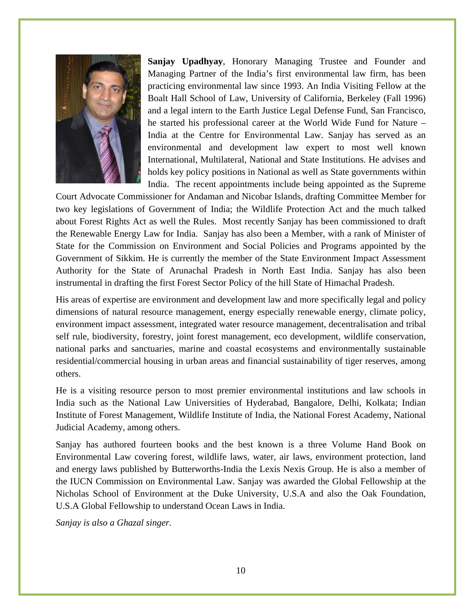

**Sanjay Upadhyay**, Honorary Managing Trustee and Founder and Managing Partner of the India's first environmental law firm, has been practicing environmental law since 1993. An India Visiting Fellow at the Boalt Hall School of Law, University of California, Berkeley (Fall 1996) and a legal intern to the Earth Justice Legal Defense Fund, San Francisco, he started his professional career at the World Wide Fund for Nature – India at the Centre for Environmental Law. Sanjay has served as an environmental and development law expert to most well known International, Multilateral, National and State Institutions. He advises and holds key policy positions in National as well as State governments within India. The recent appointments include being appointed as the Supreme

Court Advocate Commissioner for Andaman and Nicobar Islands, drafting Committee Member for two key legislations of Government of India; the Wildlife Protection Act and the much talked about Forest Rights Act as well the Rules. Most recently Sanjay has been commissioned to draft the Renewable Energy Law for India. Sanjay has also been a Member, with a rank of Minister of State for the Commission on Environment and Social Policies and Programs appointed by the Government of Sikkim. He is currently the member of the State Environment Impact Assessment Authority for the State of Arunachal Pradesh in North East India. Sanjay has also been instrumental in drafting the first Forest Sector Policy of the hill State of Himachal Pradesh.

His areas of expertise are environment and development law and more specifically legal and policy dimensions of natural resource management, energy especially renewable energy, climate policy, environment impact assessment, integrated water resource management, decentralisation and tribal self rule, biodiversity, forestry, joint forest management, eco development, wildlife conservation, national parks and sanctuaries, marine and coastal ecosystems and environmentally sustainable residential/commercial housing in urban areas and financial sustainability of tiger reserves, among others.

He is a visiting resource person to most premier environmental institutions and law schools in India such as the National Law Universities of Hyderabad, Bangalore, Delhi, Kolkata; Indian Institute of Forest Management, Wildlife Institute of India, the National Forest Academy, National Judicial Academy, among others.

Sanjay has authored fourteen books and the best known is a three Volume Hand Book on Environmental Law covering forest, wildlife laws, water, air laws, environment protection, land and energy laws published by Butterworths-India the Lexis Nexis Group. He is also a member of the IUCN Commission on Environmental Law. Sanjay was awarded the Global Fellowship at the Nicholas School of Environment at the Duke University, U.S.A and also the Oak Foundation, U.S.A Global Fellowship to understand Ocean Laws in India.

*Sanjay is also a Ghazal singer.*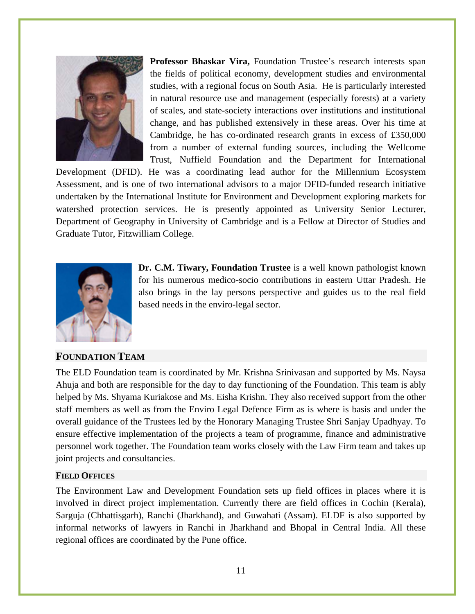

**Professor Bhaskar Vira,** Foundation Trustee's research interests span the fields of political economy, development studies and environmental studies, with a regional focus on South Asia. He is particularly interested in natural resource use and management (especially forests) at a variety of scales, and state-society interactions over institutions and institutional change, and has published extensively in these areas. Over his time at Cambridge, he has co-ordinated research grants in excess of £350,000 from a number of external funding sources, including the Wellcome Trust, Nuffield Foundation and the Department for International

Development (DFID). He was a coordinating lead author for the Millennium Ecosystem Assessment, and is one of two international advisors to a major DFID-funded research initiative undertaken by the International Institute for Environment and Development exploring markets for watershed protection services. He is presently appointed as University Senior Lecturer, Department of Geography in University of Cambridge and is a Fellow at Director of Studies and Graduate Tutor, Fitzwilliam College.



**Dr. C.M. Tiwary, Foundation Trustee** is a well known pathologist known for his numerous medico-socio contributions in eastern Uttar Pradesh. He also brings in the lay persons perspective and guides us to the real field based needs in the enviro-legal sector.

#### **FOUNDATION TEAM**

The ELD Foundation team is coordinated by Mr. Krishna Srinivasan and supported by Ms. Naysa Ahuja and both are responsible for the day to day functioning of the Foundation. This team is ably helped by Ms. Shyama Kuriakose and Ms. Eisha Krishn. They also received support from the other staff members as well as from the Enviro Legal Defence Firm as is where is basis and under the overall guidance of the Trustees led by the Honorary Managing Trustee Shri Sanjay Upadhyay. To ensure effective implementation of the projects a team of programme, finance and administrative personnel work together. The Foundation team works closely with the Law Firm team and takes up joint projects and consultancies.

#### **FIELD OFFICES**

The Environment Law and Development Foundation sets up field offices in places where it is involved in direct project implementation. Currently there are field offices in Cochin (Kerala), Sarguja (Chhattisgarh), Ranchi (Jharkhand), and Guwahati (Assam). ELDF is also supported by informal networks of lawyers in Ranchi in Jharkhand and Bhopal in Central India. All these regional offices are coordinated by the Pune office.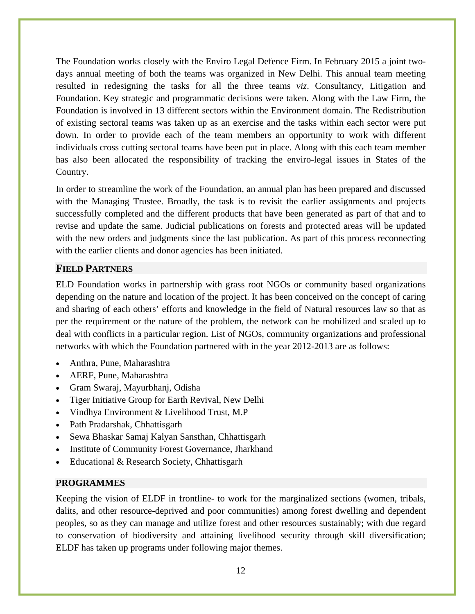The Foundation works closely with the Enviro Legal Defence Firm. In February 2015 a joint twodays annual meeting of both the teams was organized in New Delhi. This annual team meeting resulted in redesigning the tasks for all the three teams *viz*. Consultancy, Litigation and Foundation. Key strategic and programmatic decisions were taken. Along with the Law Firm, the Foundation is involved in 13 different sectors within the Environment domain. The Redistribution of existing sectoral teams was taken up as an exercise and the tasks within each sector were put down. In order to provide each of the team members an opportunity to work with different individuals cross cutting sectoral teams have been put in place. Along with this each team member has also been allocated the responsibility of tracking the enviro-legal issues in States of the Country.

In order to streamline the work of the Foundation, an annual plan has been prepared and discussed with the Managing Trustee. Broadly, the task is to revisit the earlier assignments and projects successfully completed and the different products that have been generated as part of that and to revise and update the same. Judicial publications on forests and protected areas will be updated with the new orders and judgments since the last publication. As part of this process reconnecting with the earlier clients and donor agencies has been initiated.

## **FIELD PARTNERS**

ELD Foundation works in partnership with grass root NGOs or community based organizations depending on the nature and location of the project. It has been conceived on the concept of caring and sharing of each others' efforts and knowledge in the field of Natural resources law so that as per the requirement or the nature of the problem, the network can be mobilized and scaled up to deal with conflicts in a particular region. List of NGOs, community organizations and professional networks with which the Foundation partnered with in the year 2012-2013 are as follows:

- Anthra, Pune, Maharashtra
- AERF, Pune, Maharashtra
- Gram Swaraj, Mayurbhanj, Odisha
- Tiger Initiative Group for Earth Revival, New Delhi
- Vindhya Environment & Livelihood Trust, M.P
- Path Pradarshak, Chhattisgarh
- Sewa Bhaskar Samaj Kalyan Sansthan, Chhattisgarh
- Institute of Community Forest Governance, Jharkhand
- Educational & Research Society, Chhattisgarh

#### **PROGRAMMES**

Keeping the vision of ELDF in frontline- to work for the marginalized sections (women, tribals, dalits, and other resource-deprived and poor communities) among forest dwelling and dependent peoples, so as they can manage and utilize forest and other resources sustainably; with due regard to conservation of biodiversity and attaining livelihood security through skill diversification; ELDF has taken up programs under following major themes.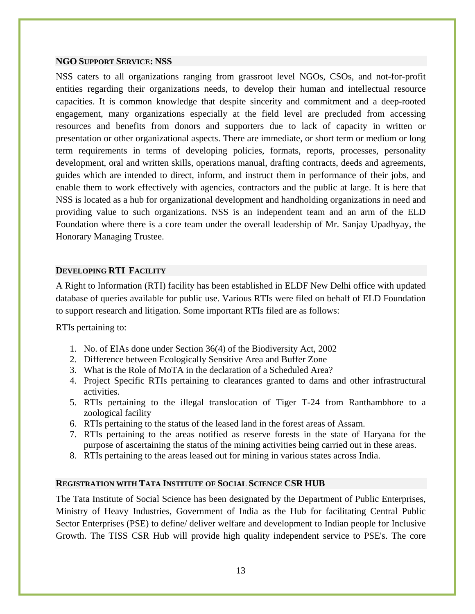#### **NGO SUPPORT SERVICE: NSS**

NSS caters to all organizations ranging from grassroot level NGOs, CSOs, and not-for-profit entities regarding their organizations needs, to develop their human and intellectual resource capacities. It is common knowledge that despite sincerity and commitment and a deep-rooted engagement, many organizations especially at the field level are precluded from accessing resources and benefits from donors and supporters due to lack of capacity in written or presentation or other organizational aspects. There are immediate, or short term or medium or long term requirements in terms of developing policies, formats, reports, processes, personality development, oral and written skills, operations manual, drafting contracts, deeds and agreements, guides which are intended to direct, inform, and instruct them in performance of their jobs, and enable them to work effectively with agencies, contractors and the public at large. It is here that NSS is located as a hub for organizational development and handholding organizations in need and providing value to such organizations. NSS is an independent team and an arm of the ELD Foundation where there is a core team under the overall leadership of Mr. Sanjay Upadhyay, the Honorary Managing Trustee.

#### **DEVELOPING RTI FACILITY**

A Right to Information (RTI) facility has been established in ELDF New Delhi office with updated database of queries available for public use. Various RTIs were filed on behalf of ELD Foundation to support research and litigation. Some important RTIs filed are as follows:

RTIs pertaining to:

- 1. No. of EIAs done under Section 36(4) of the Biodiversity Act, 2002
- 2. Difference between Ecologically Sensitive Area and Buffer Zone
- 3. What is the Role of MoTA in the declaration of a Scheduled Area?
- 4. Project Specific RTIs pertaining to clearances granted to dams and other infrastructural activities.
- 5. RTIs pertaining to the illegal translocation of Tiger T-24 from Ranthambhore to a zoological facility
- 6. RTIs pertaining to the status of the leased land in the forest areas of Assam.
- 7. RTIs pertaining to the areas notified as reserve forests in the state of Haryana for the purpose of ascertaining the status of the mining activities being carried out in these areas.
- 8. RTIs pertaining to the areas leased out for mining in various states across India.

#### **REGISTRATION WITH TATA INSTITUTE OF SOCIAL SCIENCE CSR HUB**

The Tata Institute of Social Science has been designated by the Department of Public Enterprises, Ministry of Heavy Industries, Government of India as the Hub for facilitating Central Public Sector Enterprises (PSE) to define/ deliver welfare and development to Indian people for Inclusive Growth. The TISS CSR Hub will provide high quality independent service to PSE's. The core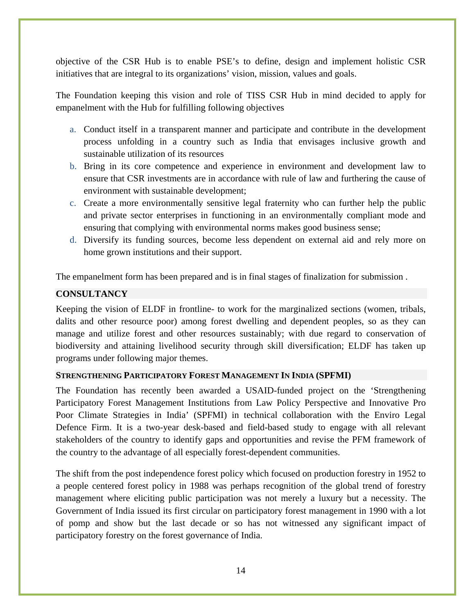objective of the CSR Hub is to enable PSE's to define, design and implement holistic CSR initiatives that are integral to its organizations' vision, mission, values and goals.

The Foundation keeping this vision and role of TISS CSR Hub in mind decided to apply for empanelment with the Hub for fulfilling following objectives

- a. Conduct itself in a transparent manner and participate and contribute in the development process unfolding in a country such as India that envisages inclusive growth and sustainable utilization of its resources
- b. Bring in its core competence and experience in environment and development law to ensure that CSR investments are in accordance with rule of law and furthering the cause of environment with sustainable development;
- c. Create a more environmentally sensitive legal fraternity who can further help the public and private sector enterprises in functioning in an environmentally compliant mode and ensuring that complying with environmental norms makes good business sense;
- d. Diversify its funding sources, become less dependent on external aid and rely more on home grown institutions and their support.

The empanelment form has been prepared and is in final stages of finalization for submission .

## **CONSULTANCY**

Keeping the vision of ELDF in frontline- to work for the marginalized sections (women, tribals, dalits and other resource poor) among forest dwelling and dependent peoples, so as they can manage and utilize forest and other resources sustainably; with due regard to conservation of biodiversity and attaining livelihood security through skill diversification; ELDF has taken up programs under following major themes.

#### **STRENGTHENING PARTICIPATORY FOREST MANAGEMENT IN INDIA (SPFMI)**

The Foundation has recently been awarded a USAID-funded project on the 'Strengthening Participatory Forest Management Institutions from Law Policy Perspective and Innovative Pro Poor Climate Strategies in India' (SPFMI) in technical collaboration with the Enviro Legal Defence Firm. It is a two-year desk-based and field-based study to engage with all relevant stakeholders of the country to identify gaps and opportunities and revise the PFM framework of the country to the advantage of all especially forest-dependent communities.

The shift from the post independence forest policy which focused on production forestry in 1952 to a people centered forest policy in 1988 was perhaps recognition of the global trend of forestry management where eliciting public participation was not merely a luxury but a necessity. The Government of India issued its first circular on participatory forest management in 1990 with a lot of pomp and show but the last decade or so has not witnessed any significant impact of participatory forestry on the forest governance of India.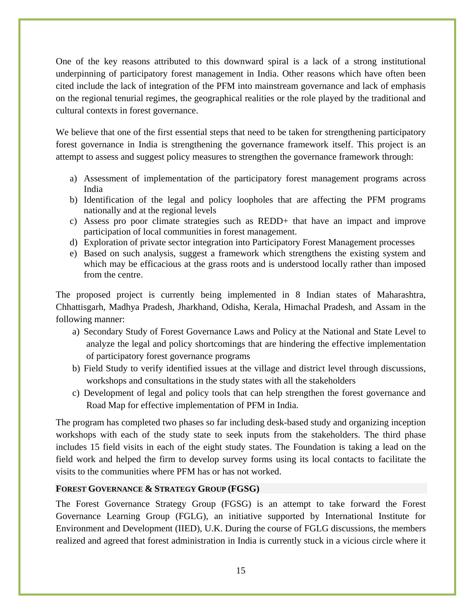One of the key reasons attributed to this downward spiral is a lack of a strong institutional underpinning of participatory forest management in India. Other reasons which have often been cited include the lack of integration of the PFM into mainstream governance and lack of emphasis on the regional tenurial regimes, the geographical realities or the role played by the traditional and cultural contexts in forest governance.

We believe that one of the first essential steps that need to be taken for strengthening participatory forest governance in India is strengthening the governance framework itself. This project is an attempt to assess and suggest policy measures to strengthen the governance framework through:

- a) Assessment of implementation of the participatory forest management programs across India
- b) Identification of the legal and policy loopholes that are affecting the PFM programs nationally and at the regional levels
- c) Assess pro poor climate strategies such as REDD+ that have an impact and improve participation of local communities in forest management.
- d) Exploration of private sector integration into Participatory Forest Management processes
- e) Based on such analysis, suggest a framework which strengthens the existing system and which may be efficacious at the grass roots and is understood locally rather than imposed from the centre.

The proposed project is currently being implemented in 8 Indian states of Maharashtra, Chhattisgarh, Madhya Pradesh, Jharkhand, Odisha, Kerala, Himachal Pradesh, and Assam in the following manner:

- a) Secondary Study of Forest Governance Laws and Policy at the National and State Level to analyze the legal and policy shortcomings that are hindering the effective implementation of participatory forest governance programs
- b) Field Study to verify identified issues at the village and district level through discussions, workshops and consultations in the study states with all the stakeholders
- c) Development of legal and policy tools that can help strengthen the forest governance and Road Map for effective implementation of PFM in India.

The program has completed two phases so far including desk-based study and organizing inception workshops with each of the study state to seek inputs from the stakeholders. The third phase includes 15 field visits in each of the eight study states. The Foundation is taking a lead on the field work and helped the firm to develop survey forms using its local contacts to facilitate the visits to the communities where PFM has or has not worked.

#### **FOREST GOVERNANCE & STRATEGY GROUP (FGSG)**

The Forest Governance Strategy Group (FGSG) is an attempt to take forward the Forest Governance Learning Group (FGLG), an initiative supported by International Institute for Environment and Development (IIED), U.K. During the course of FGLG discussions, the members realized and agreed that forest administration in India is currently stuck in a vicious circle where it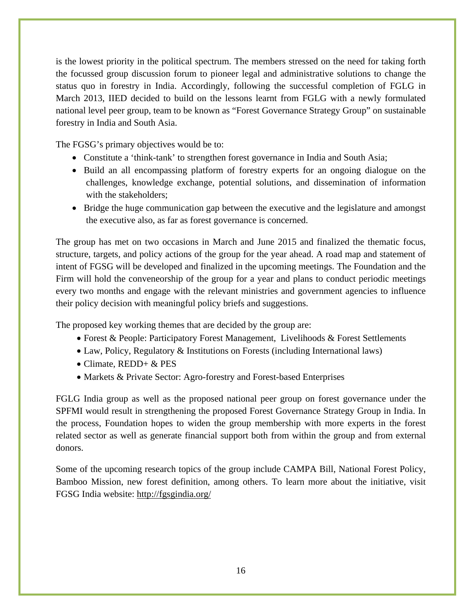is the lowest priority in the political spectrum. The members stressed on the need for taking forth the focussed group discussion forum to pioneer legal and administrative solutions to change the status quo in forestry in India. Accordingly, following the successful completion of FGLG in March 2013, IIED decided to build on the lessons learnt from FGLG with a newly formulated national level peer group, team to be known as "Forest Governance Strategy Group" on sustainable forestry in India and South Asia.

The FGSG's primary objectives would be to:

- Constitute a 'think-tank' to strengthen forest governance in India and South Asia;
- Build an all encompassing platform of forestry experts for an ongoing dialogue on the challenges, knowledge exchange, potential solutions, and dissemination of information with the stakeholders;
- Bridge the huge communication gap between the executive and the legislature and amongst the executive also, as far as forest governance is concerned.

The group has met on two occasions in March and June 2015 and finalized the thematic focus, structure, targets, and policy actions of the group for the year ahead. A road map and statement of intent of FGSG will be developed and finalized in the upcoming meetings. The Foundation and the Firm will hold the conveneorship of the group for a year and plans to conduct periodic meetings every two months and engage with the relevant ministries and government agencies to influence their policy decision with meaningful policy briefs and suggestions.

The proposed key working themes that are decided by the group are:

- Forest & People: Participatory Forest Management, Livelihoods & Forest Settlements
- Law, Policy, Regulatory & Institutions on Forests (including International laws)
- Climate, REDD+ & PES
- Markets & Private Sector: Agro-forestry and Forest-based Enterprises

FGLG India group as well as the proposed national peer group on forest governance under the SPFMI would result in strengthening the proposed Forest Governance Strategy Group in India. In the process, Foundation hopes to widen the group membership with more experts in the forest related sector as well as generate financial support both from within the group and from external donors.

Some of the upcoming research topics of the group include CAMPA Bill, National Forest Policy, Bamboo Mission, new forest definition, among others. To learn more about the initiative, visit FGSG India website: http://fgsgindia.org/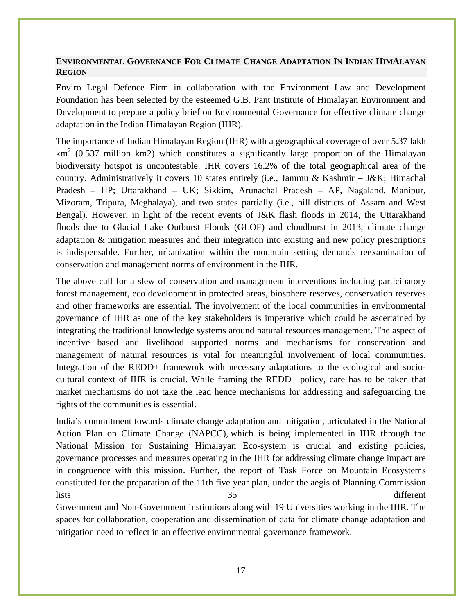#### **ENVIRONMENTAL GOVERNANCE FOR CLIMATE CHANGE ADAPTATION IN INDIAN HIMALAYAN REGION**

Enviro Legal Defence Firm in collaboration with the Environment Law and Development Foundation has been selected by the esteemed G.B. Pant Institute of Himalayan Environment and Development to prepare a policy brief on Environmental Governance for effective climate change adaptation in the Indian Himalayan Region (IHR).

The importance of Indian Himalayan Region (IHR) with a geographical coverage of over 5.37 lakh  $km<sup>2</sup>$  (0.537 million km2) which constitutes a significantly large proportion of the Himalayan biodiversity hotspot is uncontestable. IHR covers 16.2% of the total geographical area of the country. Administratively it covers 10 states entirely (i.e., Jammu & Kashmir – J&K; Himachal Pradesh – HP; Uttarakhand – UK; Sikkim, Arunachal Pradesh – AP, Nagaland, Manipur, Mizoram, Tripura, Meghalaya), and two states partially (i.e., hill districts of Assam and West Bengal). However, in light of the recent events of J&K flash floods in 2014, the Uttarakhand floods due to Glacial Lake Outburst Floods (GLOF) and cloudburst in 2013, climate change adaptation & mitigation measures and their integration into existing and new policy prescriptions is indispensable. Further, urbanization within the mountain setting demands reexamination of conservation and management norms of environment in the IHR.

The above call for a slew of conservation and management interventions including participatory forest management, eco development in protected areas, biosphere reserves, conservation reserves and other frameworks are essential. The involvement of the local communities in environmental governance of IHR as one of the key stakeholders is imperative which could be ascertained by integrating the traditional knowledge systems around natural resources management. The aspect of incentive based and livelihood supported norms and mechanisms for conservation and management of natural resources is vital for meaningful involvement of local communities. Integration of the REDD+ framework with necessary adaptations to the ecological and sociocultural context of IHR is crucial. While framing the REDD+ policy, care has to be taken that market mechanisms do not take the lead hence mechanisms for addressing and safeguarding the rights of the communities is essential.

India's commitment towards climate change adaptation and mitigation, articulated in the National Action Plan on Climate Change (NAPCC), which is being implemented in IHR through the National Mission for Sustaining Himalayan Eco-system is crucial and existing policies, governance processes and measures operating in the IHR for addressing climate change impact are in congruence with this mission. Further, the report of Task Force on Mountain Ecosystems constituted for the preparation of the 11th five year plan, under the aegis of Planning Commission lists 35 different

Government and Non-Government institutions along with 19 Universities working in the IHR. The spaces for collaboration, cooperation and dissemination of data for climate change adaptation and mitigation need to reflect in an effective environmental governance framework.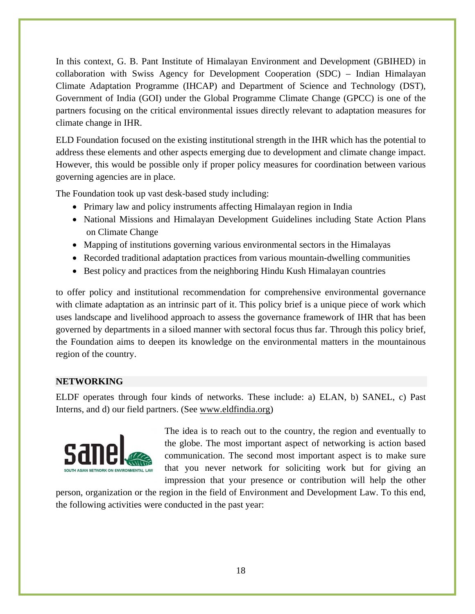In this context, G. B. Pant Institute of Himalayan Environment and Development (GBIHED) in collaboration with Swiss Agency for Development Cooperation (SDC) – Indian Himalayan Climate Adaptation Programme (IHCAP) and Department of Science and Technology (DST), Government of India (GOI) under the Global Programme Climate Change (GPCC) is one of the partners focusing on the critical environmental issues directly relevant to adaptation measures for climate change in IHR.

ELD Foundation focused on the existing institutional strength in the IHR which has the potential to address these elements and other aspects emerging due to development and climate change impact. However, this would be possible only if proper policy measures for coordination between various governing agencies are in place.

The Foundation took up vast desk-based study including:

- Primary law and policy instruments affecting Himalayan region in India
- National Missions and Himalayan Development Guidelines including State Action Plans on Climate Change
- Mapping of institutions governing various environmental sectors in the Himalayas
- Recorded traditional adaptation practices from various mountain-dwelling communities
- Best policy and practices from the neighboring Hindu Kush Himalayan countries

to offer policy and institutional recommendation for comprehensive environmental governance with climate adaptation as an intrinsic part of it. This policy brief is a unique piece of work which uses landscape and livelihood approach to assess the governance framework of IHR that has been governed by departments in a siloed manner with sectoral focus thus far. Through this policy brief, the Foundation aims to deepen its knowledge on the environmental matters in the mountainous region of the country.

# **NETWORKING**

ELDF operates through four kinds of networks. These include: a) ELAN, b) SANEL, c) Past Interns, and d) our field partners. (See www.eldfindia.org)



The idea is to reach out to the country, the region and eventually to the globe. The most important aspect of networking is action based communication. The second most important aspect is to make sure that you never network for soliciting work but for giving an impression that your presence or contribution will help the other

person, organization or the region in the field of Environment and Development Law. To this end, the following activities were conducted in the past year: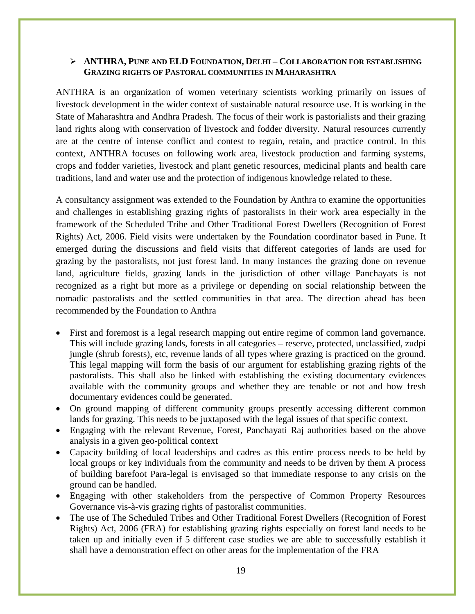#### ¾ **ANTHRA, PUNE AND ELD FOUNDATION, DELHI – COLLABORATION FOR ESTABLISHING GRAZING RIGHTS OF PASTORAL COMMUNITIES IN MAHARASHTRA**

ANTHRA is an organization of women veterinary scientists working primarily on issues of livestock development in the wider context of sustainable natural resource use. It is working in the State of Maharashtra and Andhra Pradesh. The focus of their work is pastorialists and their grazing land rights along with conservation of livestock and fodder diversity. Natural resources currently are at the centre of intense conflict and contest to regain, retain, and practice control. In this context, ANTHRA focuses on following work area, livestock production and farming systems, crops and fodder varieties, livestock and plant genetic resources, medicinal plants and health care traditions, land and water use and the protection of indigenous knowledge related to these.

A consultancy assignment was extended to the Foundation by Anthra to examine the opportunities and challenges in establishing grazing rights of pastoralists in their work area especially in the framework of the Scheduled Tribe and Other Traditional Forest Dwellers (Recognition of Forest Rights) Act, 2006. Field visits were undertaken by the Foundation coordinator based in Pune. It emerged during the discussions and field visits that different categories of lands are used for grazing by the pastoralists, not just forest land. In many instances the grazing done on revenue land, agriculture fields, grazing lands in the jurisdiction of other village Panchayats is not recognized as a right but more as a privilege or depending on social relationship between the nomadic pastoralists and the settled communities in that area. The direction ahead has been recommended by the Foundation to Anthra

- First and foremost is a legal research mapping out entire regime of common land governance. This will include grazing lands, forests in all categories – reserve, protected, unclassified, zudpi jungle (shrub forests), etc, revenue lands of all types where grazing is practiced on the ground. This legal mapping will form the basis of our argument for establishing grazing rights of the pastoralists. This shall also be linked with establishing the existing documentary evidences available with the community groups and whether they are tenable or not and how fresh documentary evidences could be generated.
- On ground mapping of different community groups presently accessing different common lands for grazing. This needs to be juxtaposed with the legal issues of that specific context.
- Engaging with the relevant Revenue, Forest, Panchayati Raj authorities based on the above analysis in a given geo-political context
- Capacity building of local leaderships and cadres as this entire process needs to be held by local groups or key individuals from the community and needs to be driven by them A process of building barefoot Para-legal is envisaged so that immediate response to any crisis on the ground can be handled.
- Engaging with other stakeholders from the perspective of Common Property Resources Governance vis-à-vis grazing rights of pastoralist communities.
- The use of The Scheduled Tribes and Other Traditional Forest Dwellers (Recognition of Forest Rights) Act, 2006 (FRA) for establishing grazing rights especially on forest land needs to be taken up and initially even if 5 different case studies we are able to successfully establish it shall have a demonstration effect on other areas for the implementation of the FRA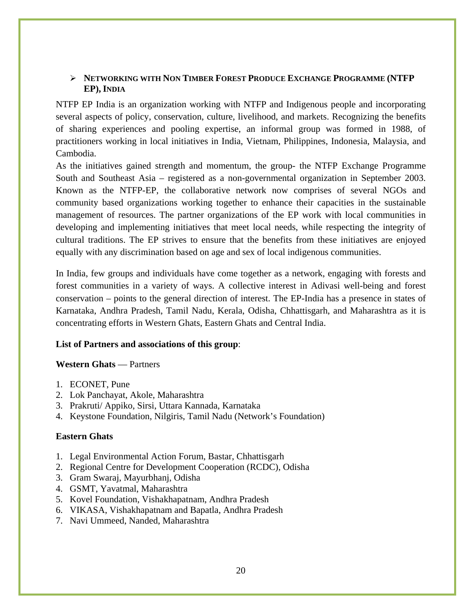#### ¾ **NETWORKING WITH NON TIMBER FOREST PRODUCE EXCHANGE PROGRAMME (NTFP EP), INDIA**

NTFP EP India is an organization working with NTFP and Indigenous people and incorporating several aspects of policy, conservation, culture, livelihood, and markets. Recognizing the benefits of sharing experiences and pooling expertise, an informal group was formed in 1988, of practitioners working in local initiatives in India, Vietnam, Philippines, Indonesia, Malaysia, and Cambodia.

As the initiatives gained strength and momentum, the group- the NTFP Exchange Programme South and Southeast Asia – registered as a non-governmental organization in September 2003. Known as the NTFP-EP, the collaborative network now comprises of several NGOs and community based organizations working together to enhance their capacities in the sustainable management of resources. The partner organizations of the EP work with local communities in developing and implementing initiatives that meet local needs, while respecting the integrity of cultural traditions. The EP strives to ensure that the benefits from these initiatives are enjoyed equally with any discrimination based on age and sex of local indigenous communities.

In India, few groups and individuals have come together as a network, engaging with forests and forest communities in a variety of ways. A collective interest in Adivasi well-being and forest conservation – points to the general direction of interest. The EP-India has a presence in states of Karnataka, Andhra Pradesh, Tamil Nadu, Kerala, Odisha, Chhattisgarh, and Maharashtra as it is concentrating efforts in Western Ghats, Eastern Ghats and Central India.

#### **List of Partners and associations of this group**:

#### **Western Ghats** — Partners

- 1. ECONET, Pune
- 2. Lok Panchayat, Akole, Maharashtra
- 3. Prakruti/ Appiko, Sirsi, Uttara Kannada, Karnataka
- 4. Keystone Foundation, Nilgiris, Tamil Nadu (Network's Foundation)

#### **Eastern Ghats**

- 1. Legal Environmental Action Forum, Bastar, Chhattisgarh
- 2. Regional Centre for Development Cooperation (RCDC), Odisha
- 3. Gram Swaraj, Mayurbhanj, Odisha
- 4. GSMT, Yavatmal, Maharashtra
- 5. Kovel Foundation, Vishakhapatnam, Andhra Pradesh
- 6. VIKASA, Vishakhapatnam and Bapatla, Andhra Pradesh
- 7. Navi Ummeed, Nanded, Maharashtra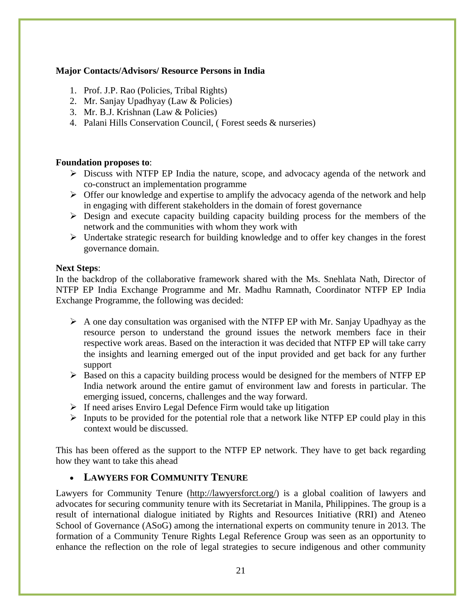#### **Major Contacts/Advisors/ Resource Persons in India**

- 1. Prof. J.P. Rao (Policies, Tribal Rights)
- 2. Mr. Sanjay Upadhyay (Law & Policies)
- 3. Mr. B.J. Krishnan (Law & Policies)
- 4. Palani Hills Conservation Council, ( Forest seeds & nurseries)

#### **Foundation proposes to**:

- ¾ Discuss with NTFP EP India the nature, scope, and advocacy agenda of the network and co-construct an implementation programme
- $\triangleright$  Offer our knowledge and expertise to amplify the advocacy agenda of the network and help in engaging with different stakeholders in the domain of forest governance
- $\triangleright$  Design and execute capacity building capacity building process for the members of the network and the communities with whom they work with
- $\triangleright$  Undertake strategic research for building knowledge and to offer key changes in the forest governance domain.

#### **Next Steps**:

In the backdrop of the collaborative framework shared with the Ms. Snehlata Nath, Director of NTFP EP India Exchange Programme and Mr. Madhu Ramnath, Coordinator NTFP EP India Exchange Programme, the following was decided:

- $\triangleright$  A one day consultation was organised with the NTFP EP with Mr. Sanjay Upadhyay as the resource person to understand the ground issues the network members face in their respective work areas. Based on the interaction it was decided that NTFP EP will take carry the insights and learning emerged out of the input provided and get back for any further support
- $\triangleright$  Based on this a capacity building process would be designed for the members of NTFP EP India network around the entire gamut of environment law and forests in particular. The emerging issued, concerns, challenges and the way forward.
- $\triangleright$  If need arises Enviro Legal Defence Firm would take up litigation
- $\triangleright$  Inputs to be provided for the potential role that a network like NTFP EP could play in this context would be discussed.

This has been offered as the support to the NTFP EP network. They have to get back regarding how they want to take this ahead

## • **LAWYERS FOR COMMUNITY TENURE**

Lawyers for Community Tenure (http://lawyersforct.org/) is a global coalition of lawyers and advocates for securing community tenure with its Secretariat in Manila, Philippines. The group is a result of international dialogue initiated by Rights and Resources Initiative (RRI) and Ateneo School of Governance (ASoG) among the international experts on community tenure in 2013. The formation of a Community Tenure Rights Legal Reference Group was seen as an opportunity to enhance the reflection on the role of legal strategies to secure indigenous and other community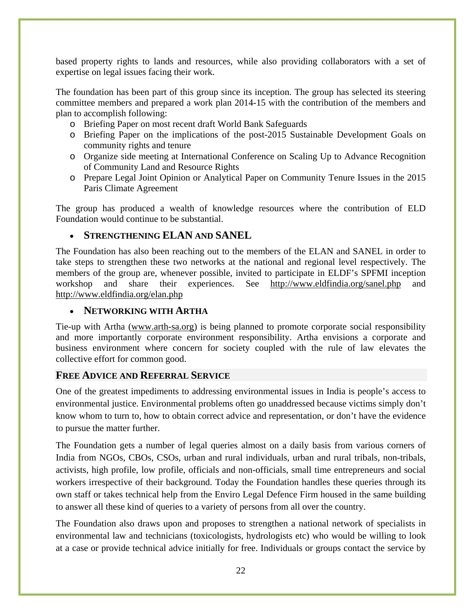based property rights to lands and resources, while also providing collaborators with a set of expertise on legal issues facing their work.

The foundation has been part of this group since its inception. The group has selected its steering committee members and prepared a work plan 2014-15 with the contribution of the members and plan to accomplish following:

- o Briefing Paper on most recent draft World Bank Safeguards
- o Briefing Paper on the implications of the post-2015 Sustainable Development Goals on community rights and tenure
- o Organize side meeting at International Conference on Scaling Up to Advance Recognition of Community Land and Resource Rights
- o Prepare Legal Joint Opinion or Analytical Paper on Community Tenure Issues in the 2015 Paris Climate Agreement

The group has produced a wealth of knowledge resources where the contribution of ELD Foundation would continue to be substantial.

# • **STRENGTHENING ELAN AND SANEL**

The Foundation has also been reaching out to the members of the ELAN and SANEL in order to take steps to strengthen these two networks at the national and regional level respectively. The members of the group are, whenever possible, invited to participate in ELDF's SPFMI inception workshop and share their experiences. See http://www.eldfindia.org/sanel.php and http://www.eldfindia.org/elan.php

#### • **NETWORKING WITH ARTHA**

Tie-up with Artha (www.arth-sa.org) is being planned to promote corporate social responsibility and more importantly corporate environment responsibility. Artha envisions a corporate and business environment where concern for society coupled with the rule of law elevates the collective effort for common good.

## **FREE ADVICE AND REFERRAL SERVICE**

One of the greatest impediments to addressing environmental issues in India is people's access to environmental justice. Environmental problems often go unaddressed because victims simply don't know whom to turn to, how to obtain correct advice and representation, or don't have the evidence to pursue the matter further.

The Foundation gets a number of legal queries almost on a daily basis from various corners of India from NGOs, CBOs, CSOs, urban and rural individuals, urban and rural tribals, non-tribals, activists, high profile, low profile, officials and non-officials, small time entrepreneurs and social workers irrespective of their background. Today the Foundation handles these queries through its own staff or takes technical help from the Enviro Legal Defence Firm housed in the same building to answer all these kind of queries to a variety of persons from all over the country.

The Foundation also draws upon and proposes to strengthen a national network of specialists in environmental law and technicians (toxicologists, hydrologists etc) who would be willing to look at a case or provide technical advice initially for free. Individuals or groups contact the service by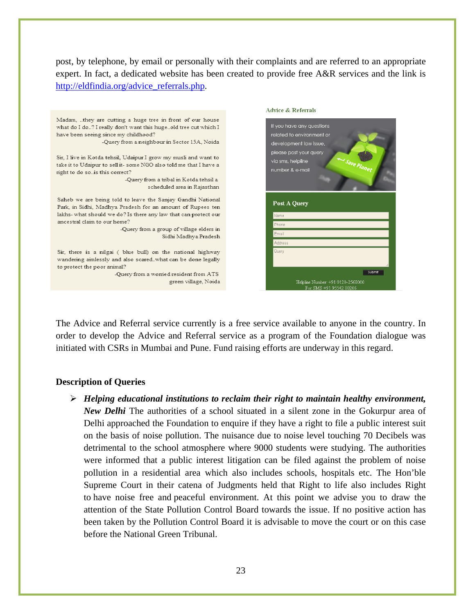post, by telephone, by email or personally with their complaints and are referred to an appropriate expert. In fact, a dedicated website has been created to provide free A&R services and the link is http://eldfindia.org/advice\_referrals.php.



The Advice and Referral service currently is a free service available to anyone in the country. In order to develop the Advice and Referral service as a program of the Foundation dialogue was initiated with CSRs in Mumbai and Pune. Fund raising efforts are underway in this regard.

#### **Description of Queries**

¾ *Helping educational institutions to reclaim their right to maintain healthy environment, New Delhi* The authorities of a school situated in a silent zone in the Gokurpur area of Delhi approached the Foundation to enquire if they have a right to file a public interest suit on the basis of noise pollution. The nuisance due to noise level touching 70 Decibels was detrimental to the school atmosphere where 9000 students were studying. The authorities were informed that a public interest litigation can be filed against the problem of noise pollution in a residential area which also includes schools, hospitals etc. The Hon'ble Supreme Court in their catena of Judgments held that Right to life also includes Right to have noise free and peaceful environment. At this point we advise you to draw the attention of the State Pollution Control Board towards the issue. If no positive action has been taken by the Pollution Control Board it is advisable to move the court or on this case before the National Green Tribunal.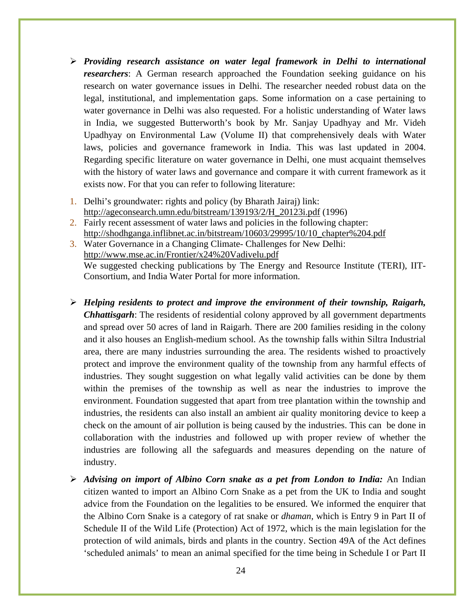- ¾ *Providing research assistance on water legal framework in Delhi to international researchers*: A German research approached the Foundation seeking guidance on his research on water governance issues in Delhi. The researcher needed robust data on the legal, institutional, and implementation gaps. Some information on a case pertaining to water governance in Delhi was also requested. For a holistic understanding of Water laws in India, we suggested Butterworth's book by Mr. Sanjay Upadhyay and Mr. Videh Upadhyay on Environmental Law (Volume II) that comprehensively deals with Water laws, policies and governance framework in India. This was last updated in 2004. Regarding specific literature on water governance in Delhi, one must acquaint themselves with the history of water laws and governance and compare it with current framework as it exists now. For that you can refer to following literature:
- 1. Delhi's groundwater: rights and policy (by Bharath Jairaj) link: http://ageconsearch.umn.edu/bitstream/139193/2/H\_20123i.pdf (1996)
- 2. Fairly recent assessment of water laws and policies in the following chapter: http://shodhganga.inflibnet.ac.in/bitstream/10603/29995/10/10\_chapter%204.pdf
- 3. Water Governance in a Changing Climate- Challenges for New Delhi: http://www.mse.ac.in/Frontier/x24%20Vadivelu.pdf We suggested checking publications by The Energy and Resource Institute (TERI), IIT-Consortium, and India Water Portal for more information.
- ¾ *Helping residents to protect and improve the environment of their township, Raigarh, Chhattisgarh*: The residents of residential colony approved by all government departments and spread over 50 acres of land in Raigarh. There are 200 families residing in the colony and it also houses an English-medium school. As the township falls within Siltra Industrial area, there are many industries surrounding the area. The residents wished to proactively protect and improve the environment quality of the township from any harmful effects of industries. They sought suggestion on what legally valid activities can be done by them within the premises of the township as well as near the industries to improve the environment. Foundation suggested that apart from tree plantation within the township and industries, the residents can also install an ambient air quality monitoring device to keep a check on the amount of air pollution is being caused by the industries. This can be done in collaboration with the industries and followed up with proper review of whether the industries are following all the safeguards and measures depending on the nature of industry.
- ¾ *Advising on import of Albino Corn snake as a pet from London to India:* An Indian citizen wanted to import an Albino Corn Snake as a pet from the UK to India and sought advice from the Foundation on the legalities to be ensured. We informed the enquirer that the Albino Corn Snake is a category of rat snake or *dhaman,* which is Entry 9 in Part II of Schedule II of the Wild Life (Protection) Act of 1972, which is the main legislation for the protection of wild animals, birds and plants in the country. Section 49A of the Act defines 'scheduled animals' to mean an animal specified for the time being in Schedule I or Part II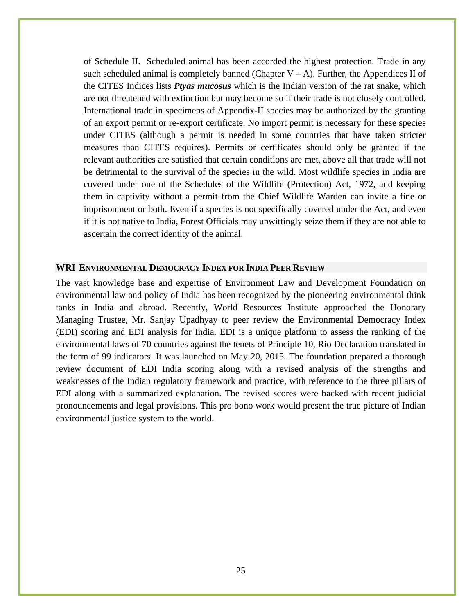of Schedule II. Scheduled animal has been accorded the highest protection. Trade in any such scheduled animal is completely banned (Chapter  $V - A$ ). Further, the Appendices II of the CITES Indices lists *Ptyas mucosus* which is the Indian version of the rat snake, which are not threatened with extinction but may become so if their trade is not closely controlled. International trade in specimens of Appendix-II species may be authorized by the granting of an export permit or re-export certificate. No import permit is necessary for these species under CITES (although a permit is needed in some countries that have taken stricter measures than CITES requires). Permits or certificates should only be granted if the relevant authorities are satisfied that certain conditions are met, above all that trade will not be detrimental to the survival of the species in the wild. Most wildlife species in India are covered under one of the Schedules of the Wildlife (Protection) Act, 1972, and keeping them in captivity without a permit from the Chief Wildlife Warden can invite a fine or imprisonment or both. Even if a species is not specifically covered under the Act, and even if it is not native to India, Forest Officials may unwittingly seize them if they are not able to ascertain the correct identity of the animal.

#### **WRI ENVIRONMENTAL DEMOCRACY INDEX FOR INDIA PEER REVIEW**

The vast knowledge base and expertise of Environment Law and Development Foundation on environmental law and policy of India has been recognized by the pioneering environmental think tanks in India and abroad. Recently, World Resources Institute approached the Honorary Managing Trustee, Mr. Sanjay Upadhyay to peer review the Environmental Democracy Index (EDI) scoring and EDI analysis for India. EDI is a unique platform to assess the ranking of the environmental laws of 70 countries against the tenets of Principle 10, Rio Declaration translated in the form of 99 indicators. It was launched on May 20, 2015. The foundation prepared a thorough review document of EDI India scoring along with a revised analysis of the strengths and weaknesses of the Indian regulatory framework and practice, with reference to the three pillars of EDI along with a summarized explanation. The revised scores were backed with recent judicial pronouncements and legal provisions. This pro bono work would present the true picture of Indian environmental justice system to the world.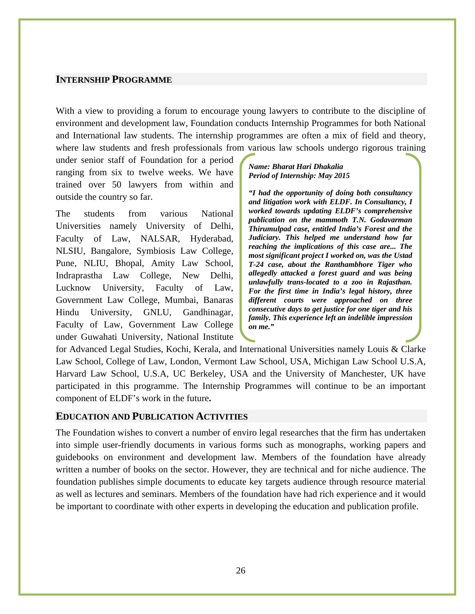#### **INTERNSHIP PROGRAMME**

With a view to providing a forum to encourage young lawyers to contribute to the discipline of environment and development law, Foundation conducts Internship Programmes for both National and International law students. The internship programmes are often a mix of field and theory, where law students and fresh professionals from various law schools undergo rigorous training

under senior staff of Foundation for a period ranging from six to twelve weeks. We have trained over 50 lawyers from within and outside the country so far.

The students from various National Universities namely University of Delhi, Faculty of Law, NALSAR, Hyderabad, NLSIU, Bangalore, Symbiosis Law College, Pune, NLIU, Bhopal, Amity Law School, Indraprastha Law College, New Delhi, Lucknow University, Faculty of Law, Government Law College, Mumbai, Banaras Hindu University, GNLU, Gandhinagar, Faculty of Law, Government Law College under Guwahati University, National Institute

#### *Name: Bharat Hari Dhakalia Period of Internship: May 2015*

*"I had the opportunity of doing both consultancy and litigation work with ELDF. In Consultancy, I worked towards updating ELDF's comprehensive publication on the mammoth T.N. Godavarman Thirumulpad case, entitled India's Forest and the Judiciary. This helped me understand how far reaching the implications of this case are... The most significant project I worked on, was the Ustad T-24 case, about the Ranthambhore Tiger who allegedly attacked a forest guard and was being unlawfully trans-located to a zoo in Rajasthan. For the first time in India's legal history, three different courts were approached on three consecutive days to get justice for one tiger and his family. This experience left an indelible impression on me."* 

for Advanced Legal Studies, Kochi, Kerala, and International Universities namely Louis & Clarke Law School, College of Law, London, Vermont Law School, USA, Michigan Law School U.S.A, Harvard Law School, U.S.A, UC Berkeley, USA and the University of Manchester, UK have participated in this programme. The Internship Programmes will continue to be an important component of ELDF's work in the future**.** 

#### **EDUCATION AND PUBLICATION ACTIVITIES**

The Foundation wishes to convert a number of enviro legal researches that the firm has undertaken into simple user-friendly documents in various forms such as monographs, working papers and guidebooks on environment and development law. Members of the foundation have already written a number of books on the sector. However, they are technical and for niche audience. The foundation publishes simple documents to educate key targets audience through resource material as well as lectures and seminars. Members of the foundation have had rich experience and it would be important to coordinate with other experts in developing the education and publication profile.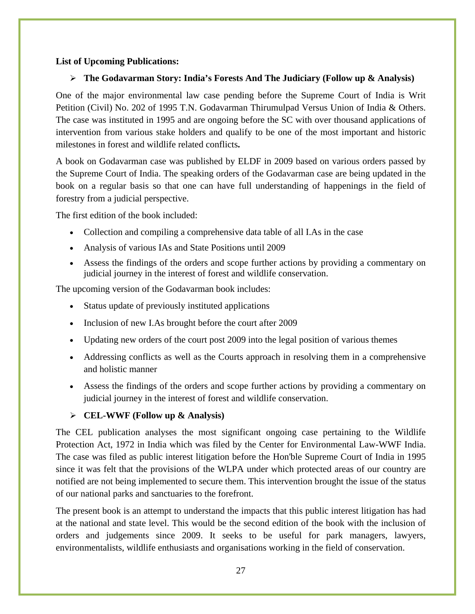#### **List of Upcoming Publications:**

#### ¾ **The Godavarman Story: India's Forests And The Judiciary (Follow up & Analysis)**

One of the major environmental law case pending before the Supreme Court of India is Writ Petition (Civil) No. 202 of 1995 T.N. Godavarman Thirumulpad Versus Union of India & Others. The case was instituted in 1995 and are ongoing before the SC with over thousand applications of intervention from various stake holders and qualify to be one of the most important and historic milestones in forest and wildlife related conflicts**.** 

A book on Godavarman case was published by ELDF in 2009 based on various orders passed by the Supreme Court of India. The speaking orders of the Godavarman case are being updated in the book on a regular basis so that one can have full understanding of happenings in the field of forestry from a judicial perspective.

The first edition of the book included:

- Collection and compiling a comprehensive data table of all I.As in the case
- Analysis of various IAs and State Positions until 2009
- Assess the findings of the orders and scope further actions by providing a commentary on judicial journey in the interest of forest and wildlife conservation.

The upcoming version of the Godavarman book includes:

- Status update of previously instituted applications
- Inclusion of new I.As brought before the court after 2009
- Updating new orders of the court post 2009 into the legal position of various themes
- Addressing conflicts as well as the Courts approach in resolving them in a comprehensive and holistic manner
- Assess the findings of the orders and scope further actions by providing a commentary on judicial journey in the interest of forest and wildlife conservation.

## ¾ **CEL-WWF (Follow up & Analysis)**

The CEL publication analyses the most significant ongoing case pertaining to the Wildlife Protection Act, 1972 in India which was filed by the Center for Environmental Law-WWF India. The case was filed as public interest litigation before the Hon'ble Supreme Court of India in 1995 since it was felt that the provisions of the WLPA under which protected areas of our country are notified are not being implemented to secure them. This intervention brought the issue of the status of our national parks and sanctuaries to the forefront.

The present book is an attempt to understand the impacts that this public interest litigation has had at the national and state level. This would be the second edition of the book with the inclusion of orders and judgements since 2009. It seeks to be useful for park managers, lawyers, environmentalists, wildlife enthusiasts and organisations working in the field of conservation.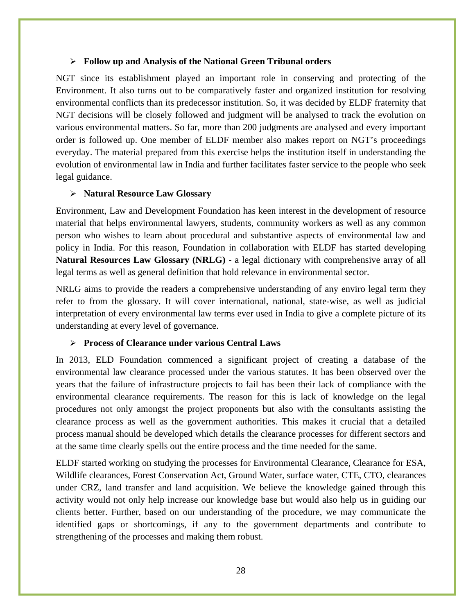#### ¾ **Follow up and Analysis of the National Green Tribunal orders**

NGT since its establishment played an important role in conserving and protecting of the Environment. It also turns out to be comparatively faster and organized institution for resolving environmental conflicts than its predecessor institution. So, it was decided by ELDF fraternity that NGT decisions will be closely followed and judgment will be analysed to track the evolution on various environmental matters. So far, more than 200 judgments are analysed and every important order is followed up. One member of ELDF member also makes report on NGT's proceedings everyday. The material prepared from this exercise helps the institution itself in understanding the evolution of environmental law in India and further facilitates faster service to the people who seek legal guidance.

#### ¾ **Natural Resource Law Glossary**

Environment, Law and Development Foundation has keen interest in the development of resource material that helps environmental lawyers, students, community workers as well as any common person who wishes to learn about procedural and substantive aspects of environmental law and policy in India. For this reason, Foundation in collaboration with ELDF has started developing **Natural Resources Law Glossary (NRLG)** - a legal dictionary with comprehensive array of all legal terms as well as general definition that hold relevance in environmental sector.

NRLG aims to provide the readers a comprehensive understanding of any enviro legal term they refer to from the glossary. It will cover international, national, state-wise, as well as judicial interpretation of every environmental law terms ever used in India to give a complete picture of its understanding at every level of governance.

#### ¾ **Process of Clearance under various Central Laws**

In 2013, ELD Foundation commenced a significant project of creating a database of the environmental law clearance processed under the various statutes. It has been observed over the years that the failure of infrastructure projects to fail has been their lack of compliance with the environmental clearance requirements. The reason for this is lack of knowledge on the legal procedures not only amongst the project proponents but also with the consultants assisting the clearance process as well as the government authorities. This makes it crucial that a detailed process manual should be developed which details the clearance processes for different sectors and at the same time clearly spells out the entire process and the time needed for the same.

ELDF started working on studying the processes for Environmental Clearance, Clearance for ESA, Wildlife clearances, Forest Conservation Act, Ground Water, surface water, CTE, CTO, clearances under CRZ, land transfer and land acquisition. We believe the knowledge gained through this activity would not only help increase our knowledge base but would also help us in guiding our clients better. Further, based on our understanding of the procedure, we may communicate the identified gaps or shortcomings, if any to the government departments and contribute to strengthening of the processes and making them robust.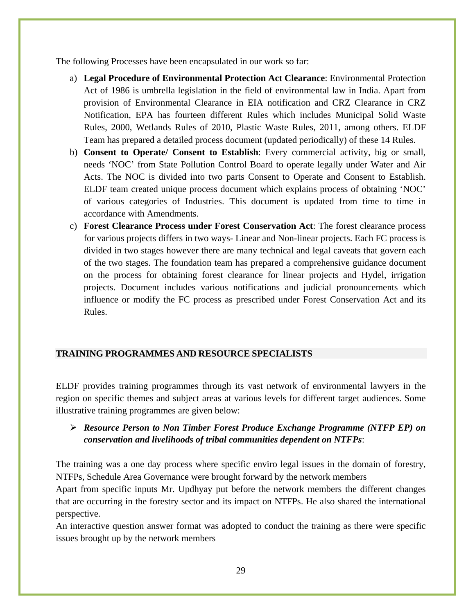The following Processes have been encapsulated in our work so far:

- a) **Legal Procedure of Environmental Protection Act Clearance**: Environmental Protection Act of 1986 is umbrella legislation in the field of environmental law in India. Apart from provision of Environmental Clearance in EIA notification and CRZ Clearance in CRZ Notification, EPA has fourteen different Rules which includes Municipal Solid Waste Rules, 2000, Wetlands Rules of 2010, Plastic Waste Rules, 2011, among others. ELDF Team has prepared a detailed process document (updated periodically) of these 14 Rules.
- b) **Consent to Operate/ Consent to Establish**: Every commercial activity, big or small, needs 'NOC' from State Pollution Control Board to operate legally under Water and Air Acts. The NOC is divided into two parts Consent to Operate and Consent to Establish. ELDF team created unique process document which explains process of obtaining 'NOC' of various categories of Industries. This document is updated from time to time in accordance with Amendments.
- c) **Forest Clearance Process under Forest Conservation Act**: The forest clearance process for various projects differs in two ways- Linear and Non-linear projects. Each FC process is divided in two stages however there are many technical and legal caveats that govern each of the two stages. The foundation team has prepared a comprehensive guidance document on the process for obtaining forest clearance for linear projects and Hydel, irrigation projects. Document includes various notifications and judicial pronouncements which influence or modify the FC process as prescribed under Forest Conservation Act and its Rules.

## **TRAINING PROGRAMMES AND RESOURCE SPECIALISTS**

ELDF provides training programmes through its vast network of environmental lawyers in the region on specific themes and subject areas at various levels for different target audiences. Some illustrative training programmes are given below:

# ¾ *Resource Person to Non Timber Forest Produce Exchange Programme (NTFP EP) on conservation and livelihoods of tribal communities dependent on NTFPs*:

The training was a one day process where specific enviro legal issues in the domain of forestry, NTFPs, Schedule Area Governance were brought forward by the network members

Apart from specific inputs Mr. Updhyay put before the network members the different changes that are occurring in the forestry sector and its impact on NTFPs. He also shared the international perspective.

An interactive question answer format was adopted to conduct the training as there were specific issues brought up by the network members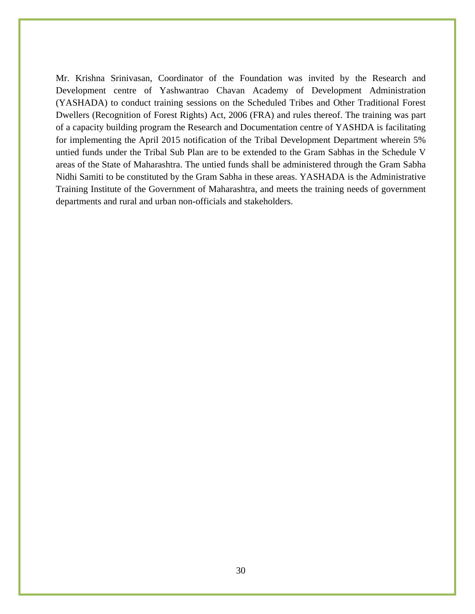Mr. Krishna Srinivasan, Coordinator of the Foundation was invited by the Research and Development centre of Yashwantrao Chavan Academy of Development Administration (YASHADA) to conduct training sessions on the Scheduled Tribes and Other Traditional Forest Dwellers (Recognition of Forest Rights) Act, 2006 (FRA) and rules thereof. The training was part of a capacity building program the Research and Documentation centre of YASHDA is facilitating for implementing the April 2015 notification of the Tribal Development Department wherein 5% untied funds under the Tribal Sub Plan are to be extended to the Gram Sabhas in the Schedule V areas of the State of Maharashtra. The untied funds shall be administered through the Gram Sabha Nidhi Samiti to be constituted by the Gram Sabha in these areas. YASHADA is the Administrative Training Institute of the Government of Maharashtra, and meets the training needs of government departments and rural and urban non-officials and stakeholders.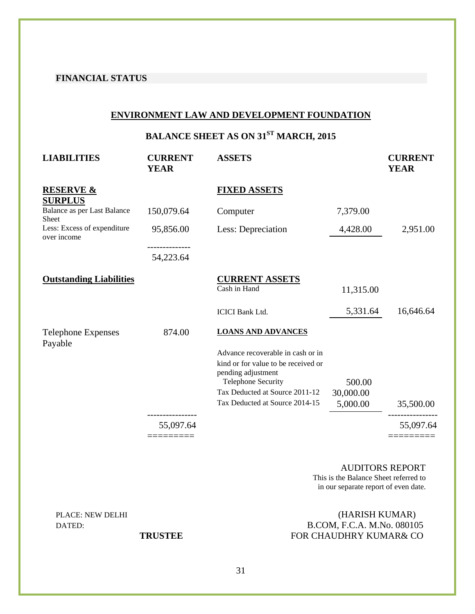#### **FINANCIAL STATUS**

#### **ENVIRONMENT LAW AND DEVELOPMENT FOUNDATION**

**BALANCE SHEET AS ON 31<sup>ST</sup> MARCH, 2015** 

| <b>LIABILITIES</b>                          | <b>CURRENT</b><br><b>YEAR</b> | <b>ASSETS</b>                                                                                                                                                 |                     | <b>CURRENT</b><br><b>YEAR</b> |
|---------------------------------------------|-------------------------------|---------------------------------------------------------------------------------------------------------------------------------------------------------------|---------------------|-------------------------------|
| <b>RESERVE &amp;</b><br><b>SURPLUS</b>      |                               | <b>FIXED ASSETS</b>                                                                                                                                           |                     |                               |
| Balance as per Last Balance<br><b>Sheet</b> | 150,079.64                    | Computer                                                                                                                                                      | 7,379.00            |                               |
| Less: Excess of expenditure<br>over income  | 95,856.00                     | Less: Depreciation                                                                                                                                            | 4,428.00            | 2,951.00                      |
|                                             | 54,223.64                     |                                                                                                                                                               |                     |                               |
| <b>Outstanding Liabilities</b>              |                               | <b>CURRENT ASSETS</b><br>Cash in Hand                                                                                                                         | 11,315.00           |                               |
|                                             |                               | <b>ICICI Bank Ltd.</b>                                                                                                                                        | 5,331.64            | 16,646.64                     |
| <b>Telephone Expenses</b><br>Payable        | 874.00                        | <b>LOANS AND ADVANCES</b>                                                                                                                                     |                     |                               |
|                                             |                               | Advance recoverable in cash or in<br>kind or for value to be received or<br>pending adjustment<br><b>Telephone Security</b><br>Tax Deducted at Source 2011-12 | 500.00<br>30,000.00 |                               |
|                                             |                               | Tax Deducted at Source 2014-15                                                                                                                                | 5,000.00            | 35,500.00                     |
|                                             | 55,097.64                     |                                                                                                                                                               |                     | 55,097.64                     |

AUDITORS REPORT This is the Balance Sheet referred to in our separate report of even date.

## PLACE: NEW DELHI (HARISH KUMAR) DATED: B.COM, F.C.A. M.No. 080105 **TRUSTEE FOR CHAUDHRY KUMAR& CO**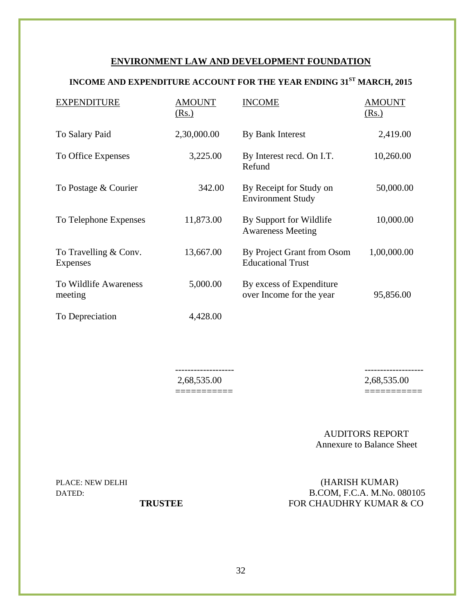#### **ENVIRONMENT LAW AND DEVELOPMENT FOUNDATION**

# **INCOME AND EXPENDITURE ACCOUNT FOR THE YEAR ENDING 31ST MARCH, 2015**

| <b>EXPENDITURE</b>                | <b>AMOUNT</b><br>(Rs.) | <b>INCOME</b>                                          | <b>AMOUNT</b><br>(Rs.) |
|-----------------------------------|------------------------|--------------------------------------------------------|------------------------|
| To Salary Paid                    | 2,30,000.00            | By Bank Interest                                       | 2,419.00               |
| To Office Expenses                | 3,225.00               | By Interest recd. On I.T.<br>Refund                    | 10,260.00              |
| To Postage & Courier              | 342.00                 | By Receipt for Study on<br><b>Environment Study</b>    | 50,000.00              |
| To Telephone Expenses             | 11,873.00              | By Support for Wildlife<br><b>Awareness Meeting</b>    | 10,000.00              |
| To Travelling & Conv.<br>Expenses | 13,667.00              | By Project Grant from Osom<br><b>Educational Trust</b> | 1,00,000.00            |
| To Wildlife Awareness<br>meeting  | 5,000.00               | By excess of Expenditure<br>over Income for the year   | 95,856.00              |
| To Depreciation                   | 4,428.00               |                                                        |                        |

 ------------------- ------------------- 2,68,535.00 2,68,535.00 =========== ===========

AUDITORS REPORT Annexure to Balance Sheet

PLACE: NEW DELHI (HARISH KUMAR) DATED: B.COM, F.C.A. M.No. 080105 **TRUSTEE FOR CHAUDHRY KUMAR & CO**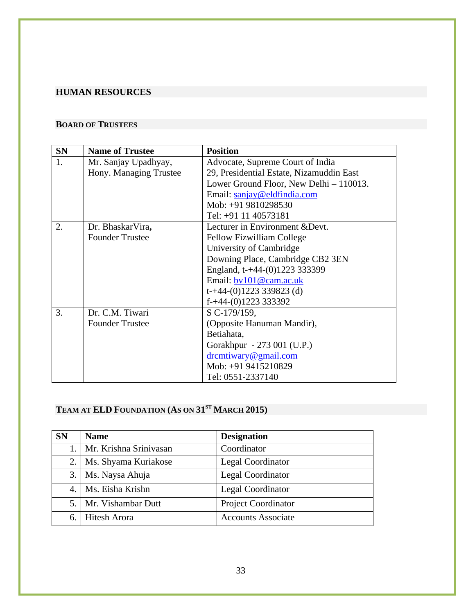# **HUMAN RESOURCES**

### **BOARD OF TRUSTEES**

| <b>SN</b> | <b>Name of Trustee</b> | <b>Position</b>                          |  |
|-----------|------------------------|------------------------------------------|--|
| 1.        | Mr. Sanjay Upadhyay,   | Advocate, Supreme Court of India         |  |
|           | Hony. Managing Trustee | 29, Presidential Estate, Nizamuddin East |  |
|           |                        | Lower Ground Floor, New Delhi - 110013.  |  |
|           |                        | Email: sanjay@eldfindia.com              |  |
|           |                        | Mob: +91 9810298530                      |  |
|           |                        | Tel: +91 11 40573181                     |  |
| 2.        | Dr. BhaskarVira,       | Lecturer in Environment & Devt.          |  |
|           | <b>Founder Trustee</b> | Fellow Fizwilliam College                |  |
|           |                        | University of Cambridge                  |  |
|           |                        | Downing Place, Cambridge CB2 3EN         |  |
|           |                        | England, t-+44-(0)1223 333399            |  |
|           |                        | Email: bv101@cam.ac.uk                   |  |
|           |                        | $t$ -+44-(0)1223 339823 (d)              |  |
|           |                        | $f$ -+44-(0)1223 333392                  |  |
| 3.        | Dr. C.M. Tiwari        | S C-179/159,                             |  |
|           | <b>Founder Trustee</b> | (Opposite Hanuman Mandir),               |  |
|           |                        | Betiahata,                               |  |
|           |                        | Gorakhpur - 273 001 (U.P.)               |  |
|           |                        | dremtiwary@gmail.com                     |  |
|           |                        | Mob: +91 9415210829                      |  |
|           |                        | Tel: 0551-2337140                        |  |

# **TEAM AT ELD FOUNDATION (AS ON 31<sup>st</sup> MARCH 2015)**

| <b>SN</b> | <b>Name</b>               | <b>Designation</b>         |
|-----------|---------------------------|----------------------------|
|           | 1. Mr. Krishna Srinivasan | Coordinator                |
| 2.        | Ms. Shyama Kuriakose      | <b>Legal Coordinator</b>   |
| 3.        | Ms. Naysa Ahuja           | Legal Coordinator          |
| 4.        | Ms. Eisha Krishn          | Legal Coordinator          |
|           | 5.   Mr. Vishambar Dutt   | <b>Project Coordinator</b> |
|           | 6. Hitesh Arora           | <b>Accounts Associate</b>  |